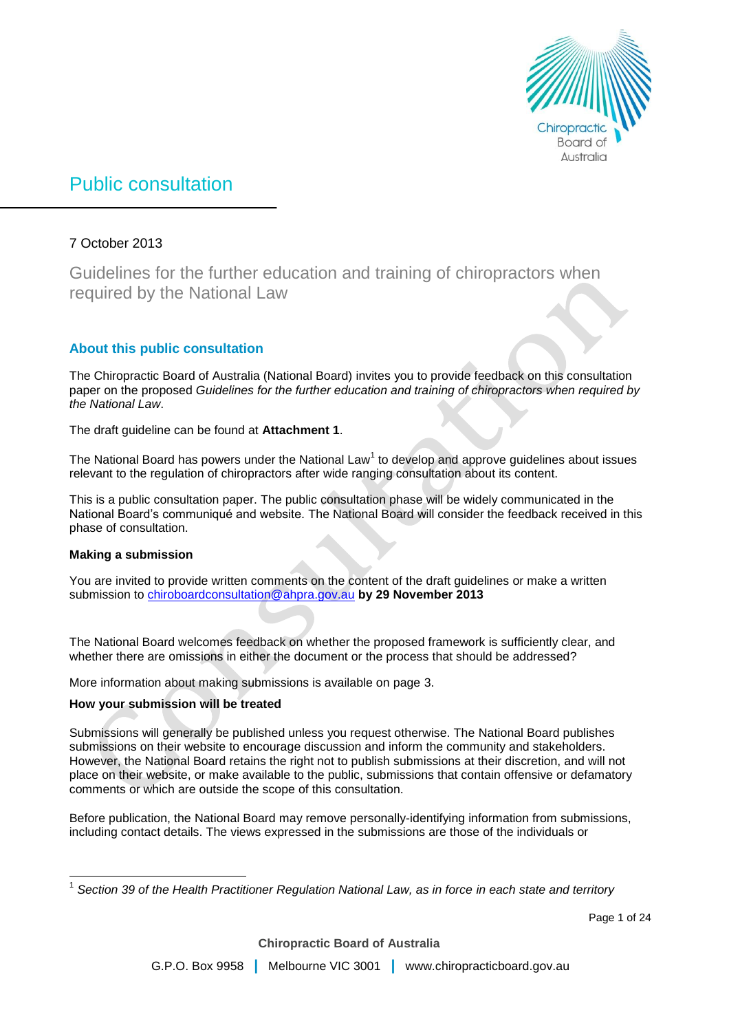

# Public consultation

# 7 October 2013

Guidelines for the further education and training of chiropractors when required by the National Law

# **About this public consultation**

The Chiropractic Board of Australia (National Board) invites you to provide feedback on this consultation paper on the proposed *Guidelines for the further education and training of chiropractors when required by the National Law*.

The draft guideline can be found at **Attachment 1**.

The National Board has powers under the National Law<sup>1</sup> to develop and approve guidelines about issues relevant to the regulation of chiropractors after wide ranging consultation about its content.

This is a public consultation paper. The public consultation phase will be widely communicated in the National Board's communiqué and website. The National Board will consider the feedback received in this phase of consultation.

# **Making a submission**

 $\overline{\phantom{a}}$ 

You are invited to provide written comments on the content of the draft guidelines or make a written submission to [chiroboardconsultation@ahpra.gov.au](mailto:chiroboardconsultation@ahpra.gov.au) **by 29 November 2013**

The National Board welcomes feedback on whether the proposed framework is sufficiently clear, and whether there are omissions in either the document or the process that should be addressed?

More information about making submissions is available on page 3.

# **How your submission will be treated**

Submissions will generally be published unless you request otherwise. The National Board publishes submissions on their website to encourage discussion and inform the community and stakeholders. However, the National Board retains the right not to publish submissions at their discretion, and will not place on their website, or make available to the public, submissions that contain offensive or defamatory comments or which are outside the scope of this consultation.

Before publication, the National Board may remove personally-identifying information from submissions, including contact details. The views expressed in the submissions are those of the individuals or

1 *Section 39 of the Health Practitioner Regulation National Law, as in force in each state and territory*

Page 1 of 24

**Chiropractic Board of Australia**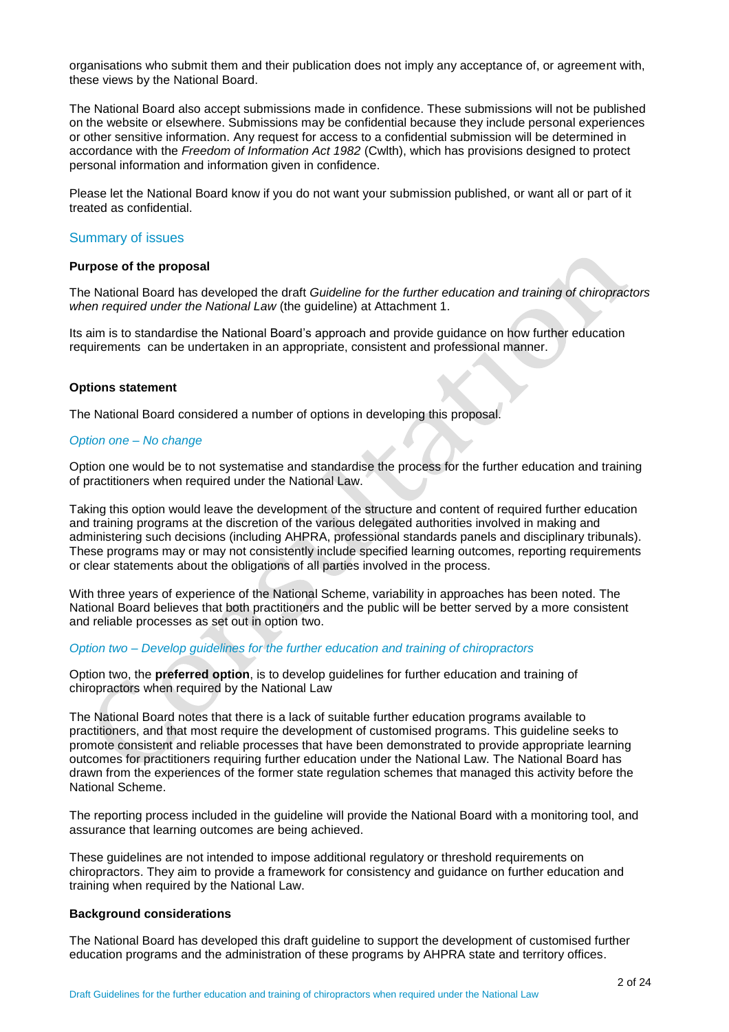organisations who submit them and their publication does not imply any acceptance of, or agreement with, these views by the National Board.

The National Board also accept submissions made in confidence. These submissions will not be published on the website or elsewhere. Submissions may be confidential because they include personal experiences or other sensitive information. Any request for access to a confidential submission will be determined in accordance with the *Freedom of Information Act 1982* (Cwlth), which has provisions designed to protect personal information and information given in confidence.

Please let the National Board know if you do not want your submission published, or want all or part of it treated as confidential.

### Summary of issues

### **Purpose of the proposal**

The National Board has developed the draft *Guideline for the further education and training of chiropractors when required under the National Law* (the guideline) at Attachment 1.

Its aim is to standardise the National Board's approach and provide guidance on how further education requirements can be undertaken in an appropriate, consistent and professional manner.

### **Options statement**

The National Board considered a number of options in developing this proposal.

### *Option one – No change*

Option one would be to not systematise and standardise the process for the further education and training of practitioners when required under the National Law.

Taking this option would leave the development of the structure and content of required further education and training programs at the discretion of the various delegated authorities involved in making and administering such decisions (including AHPRA, professional standards panels and disciplinary tribunals). These programs may or may not consistently include specified learning outcomes, reporting requirements or clear statements about the obligations of all parties involved in the process.

With three years of experience of the National Scheme, variability in approaches has been noted. The National Board believes that both practitioners and the public will be better served by a more consistent and reliable processes as set out in option two.

### *Option two – Develop guidelines for the further education and training of chiropractors*

Option two, the **preferred option**, is to develop guidelines for further education and training of chiropractors when required by the National Law

The National Board notes that there is a lack of suitable further education programs available to practitioners, and that most require the development of customised programs. This guideline seeks to promote consistent and reliable processes that have been demonstrated to provide appropriate learning outcomes for practitioners requiring further education under the National Law. The National Board has drawn from the experiences of the former state regulation schemes that managed this activity before the National Scheme.

The reporting process included in the guideline will provide the National Board with a monitoring tool, and assurance that learning outcomes are being achieved.

These guidelines are not intended to impose additional regulatory or threshold requirements on chiropractors. They aim to provide a framework for consistency and guidance on further education and training when required by the National Law.

#### **Background considerations**

The National Board has developed this draft guideline to support the development of customised further education programs and the administration of these programs by AHPRA state and territory offices.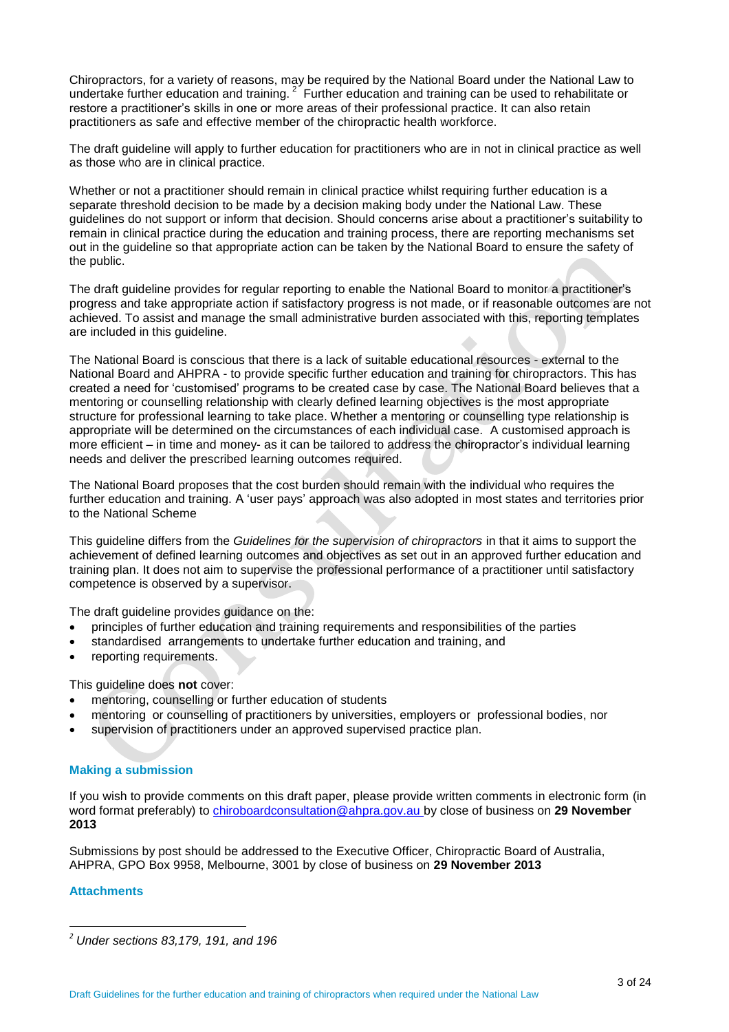Chiropractors, for a variety of reasons, may be required by the National Board under the National Law to undertake further education and training.  $2^{\circ}$  Further education and training can be used to rehabilitate or restore a practitioner's skills in one or more areas of their professional practice. It can also retain practitioners as safe and effective member of the chiropractic health workforce.

The draft guideline will apply to further education for practitioners who are in not in clinical practice as well as those who are in clinical practice.

Whether or not a practitioner should remain in clinical practice whilst requiring further education is a separate threshold decision to be made by a decision making body under the National Law. These guidelines do not support or inform that decision. Should concerns arise about a practitioner's suitability to remain in clinical practice during the education and training process, there are reporting mechanisms set out in the guideline so that appropriate action can be taken by the National Board to ensure the safety of the public.

The draft guideline provides for regular reporting to enable the National Board to monitor a practitioner's progress and take appropriate action if satisfactory progress is not made, or if reasonable outcomes are not achieved. To assist and manage the small administrative burden associated with this, reporting templates are included in this guideline.

The National Board is conscious that there is a lack of suitable educational resources - external to the National Board and AHPRA - to provide specific further education and training for chiropractors. This has created a need for 'customised' programs to be created case by case. The National Board believes that a mentoring or counselling relationship with clearly defined learning objectives is the most appropriate structure for professional learning to take place. Whether a mentoring or counselling type relationship is appropriate will be determined on the circumstances of each individual case. A customised approach is more efficient – in time and money- as it can be tailored to address the chiropractor's individual learning needs and deliver the prescribed learning outcomes required.

The National Board proposes that the cost burden should remain with the individual who requires the further education and training. A 'user pays' approach was also adopted in most states and territories prior to the National Scheme

This guideline differs from the *Guidelines for the supervision of chiropractors* in that it aims to support the achievement of defined learning outcomes and objectives as set out in an approved further education and training plan. It does not aim to supervise the professional performance of a practitioner until satisfactory competence is observed by a supervisor.

The draft guideline provides guidance on the:

- principles of further education and training requirements and responsibilities of the parties
- standardised arrangements to undertake further education and training, and
- reporting requirements.

This guideline does **not** cover:

- mentoring, counselling or further education of students
- mentoring or counselling of practitioners by universities, employers or professional bodies, nor
- supervision of practitioners under an approved supervised practice plan.

# **Making a submission**

If you wish to provide comments on this draft paper, please provide written comments in electronic form (in word format preferably) to [chiroboardconsultation@ahpra.gov.au b](file://meerkat/AHPRA_Global/CONSULTATIONS/Further%20Education%20by%20M%20and%20C/chiroboardconsultation@ahpra.gov.au)y close of business on **29 November 2013**

Submissions by post should be addressed to the Executive Officer, Chiropractic Board of Australia, AHPRA, GPO Box 9958, Melbourne, 3001 by close of business on **29 November 2013**

# **Attachments**

 $\overline{a}$ 

*<sup>2</sup> Under sections 83,179, 191, and 196*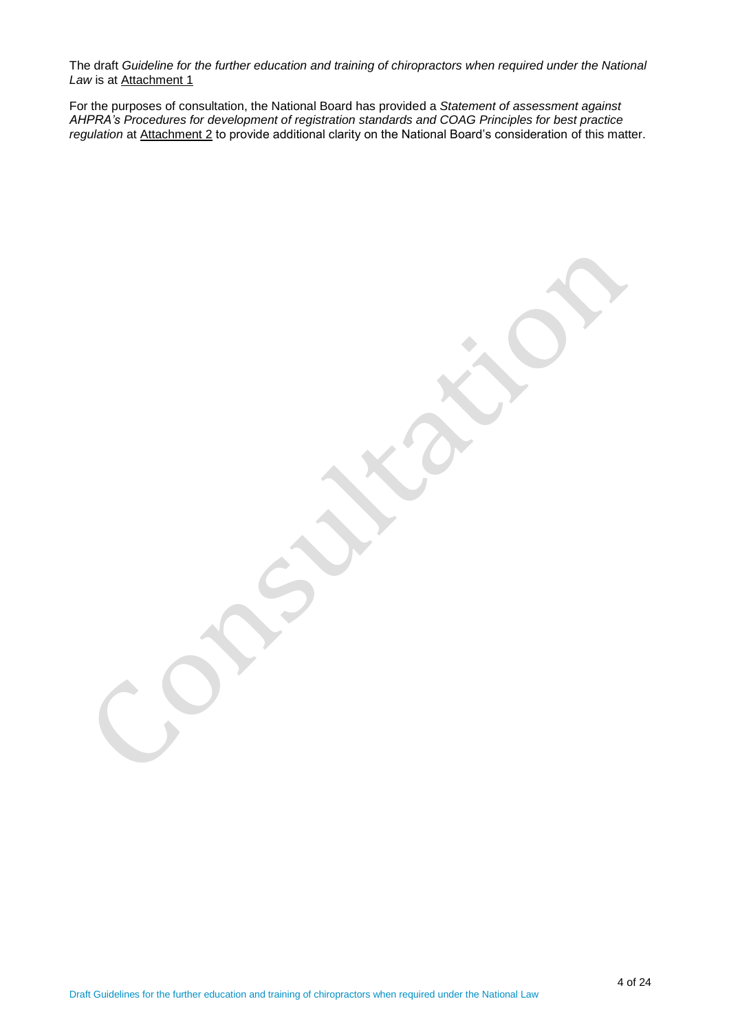The draft *Guideline for the further education and training of chiropractors when required under the National*  Law is at Attachment 1

For the purposes of consultation, the National Board has provided a *Statement of assessment against AHPRA's Procedures for development of registration standards and COAG Principles for best practice regulation* at Attachment 2 to provide additional clarity on the National Board's consideration of this matter.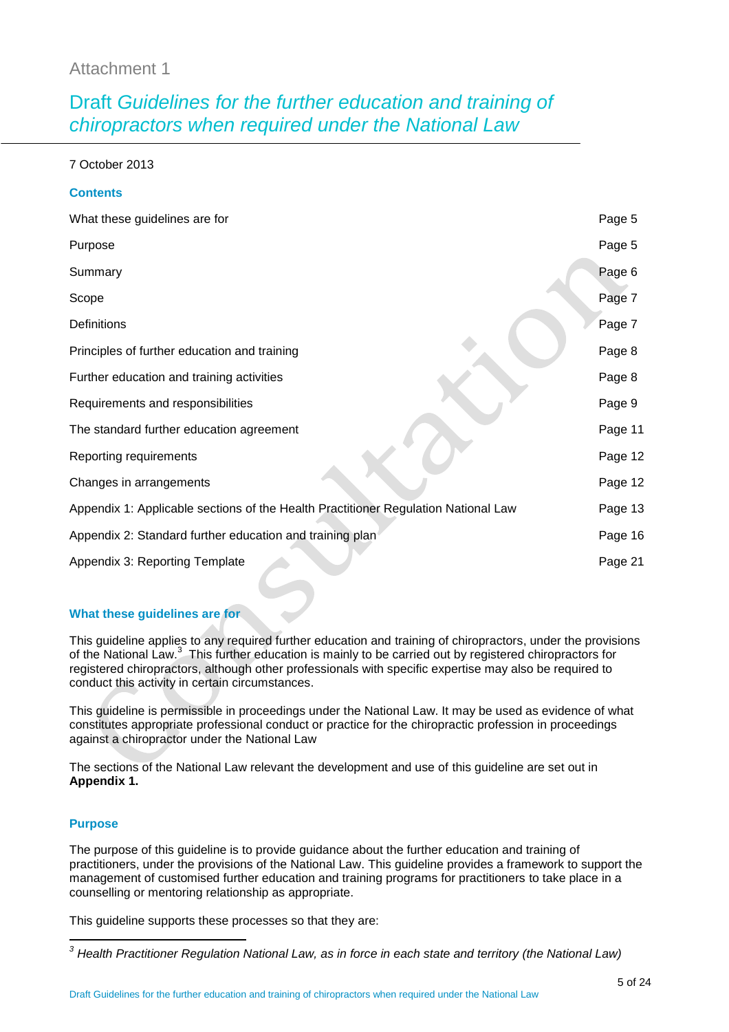# Attachment 1

# Draft *Guidelines for the further education and training of chiropractors when required under the National Law*

7 October 2013

**Contents**

| uullellis                                                                          |         |
|------------------------------------------------------------------------------------|---------|
| What these guidelines are for                                                      | Page 5  |
| Purpose                                                                            | Page 5  |
| Summary                                                                            | Page 6  |
| Scope                                                                              | Page 7  |
| <b>Definitions</b>                                                                 | Page 7  |
| Principles of further education and training                                       | Page 8  |
| Further education and training activities                                          | Page 8  |
| Requirements and responsibilities                                                  | Page 9  |
| The standard further education agreement                                           | Page 11 |
| Reporting requirements                                                             | Page 12 |
| Changes in arrangements                                                            | Page 12 |
| Appendix 1: Applicable sections of the Health Practitioner Regulation National Law | Page 13 |
| Appendix 2: Standard further education and training plan                           | Page 16 |
| Appendix 3: Reporting Template                                                     | Page 21 |

# **What these guidelines are for**

This guideline applies to any required further education and training of chiropractors, under the provisions of the National Law.<sup>3</sup> This further education is mainly to be carried out by registered chiropractors for registered chiropractors, although other professionals with specific expertise may also be required to conduct this activity in certain circumstances.

This guideline is permissible in proceedings under the National Law. It may be used as evidence of what constitutes appropriate professional conduct or practice for the chiropractic profession in proceedings against a chiropractor under the National Law

The sections of the National Law relevant the development and use of this guideline are set out in **Appendix 1.**

# **Purpose**

The purpose of this guideline is to provide guidance about the further education and training of practitioners, under the provisions of the National Law. This guideline provides a framework to support the management of customised further education and training programs for practitioners to take place in a counselling or mentoring relationship as appropriate.

This guideline supports these processes so that they are:

 $\overline{a}$ *<sup>3</sup> Health Practitioner Regulation National Law, as in force in each state and territory (the National Law)*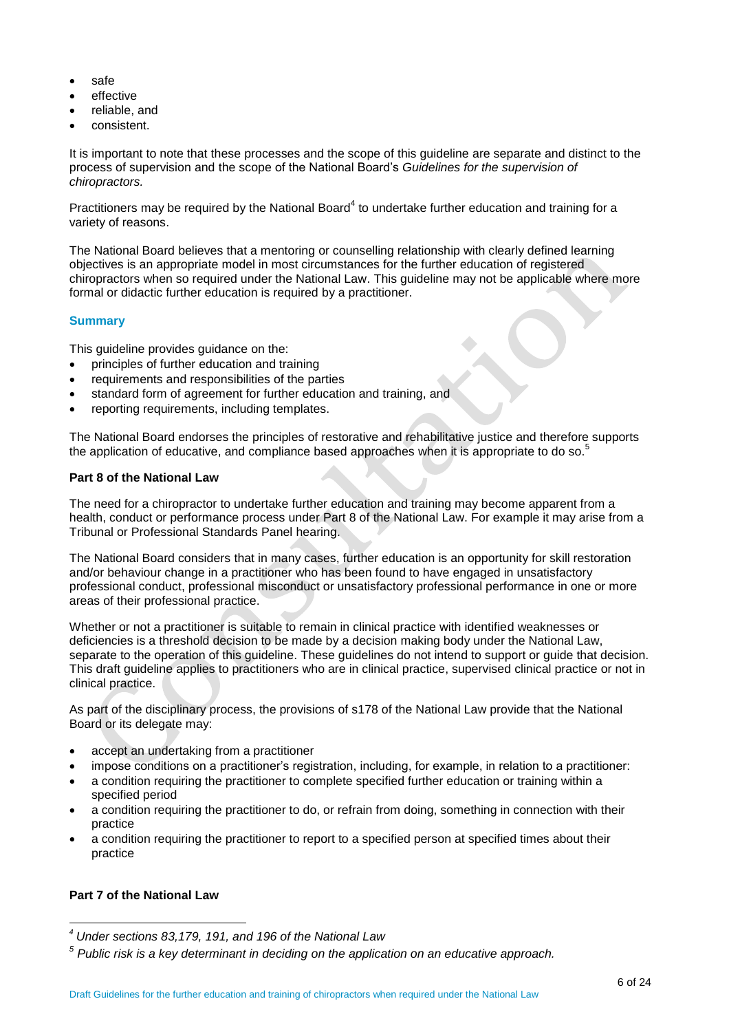- safe
- effective
- reliable, and
- consistent.

It is important to note that these processes and the scope of this guideline are separate and distinct to the process of supervision and the scope of the National Board's *Guidelines for the supervision of chiropractors.*

Practitioners may be required by the National Board<sup>4</sup> to undertake further education and training for a variety of reasons.

The National Board believes that a mentoring or counselling relationship with clearly defined learning objectives is an appropriate model in most circumstances for the further education of registered chiropractors when so required under the National Law. This guideline may not be applicable where more formal or didactic further education is required by a practitioner.

# **Summary**

This guideline provides guidance on the:

- principles of further education and training
- requirements and responsibilities of the parties
- standard form of agreement for further education and training, and
- reporting requirements, including templates.

The National Board endorses the principles of restorative and rehabilitative justice and therefore supports the application of educative, and compliance based approaches when it is appropriate to do so.<sup>5</sup>

### **Part 8 of the National Law**

The need for a chiropractor to undertake further education and training may become apparent from a health, conduct or performance process under Part 8 of the National Law. For example it may arise from a Tribunal or Professional Standards Panel hearing.

The National Board considers that in many cases, further education is an opportunity for skill restoration and/or behaviour change in a practitioner who has been found to have engaged in unsatisfactory professional conduct, professional misconduct or unsatisfactory professional performance in one or more areas of their professional practice.

Whether or not a practitioner is suitable to remain in clinical practice with identified weaknesses or deficiencies is a threshold decision to be made by a decision making body under the National Law, separate to the operation of this guideline. These guidelines do not intend to support or guide that decision. This draft guideline applies to practitioners who are in clinical practice, supervised clinical practice or not in clinical practice.

As part of the disciplinary process, the provisions of s178 of the National Law provide that the National Board or its delegate may:

- accept an undertaking from a practitioner
- impose conditions on a practitioner's registration, including, for example, in relation to a practitioner:
- a condition requiring the practitioner to complete specified further education or training within a specified period
- a condition requiring the practitioner to do, or refrain from doing, something in connection with their practice
- a condition requiring the practitioner to report to a specified person at specified times about their practice

# **Part 7 of the National Law**

 $\overline{a}$ 

*<sup>4</sup> Under sections 83,179, 191, and 196 of the National Law*

*<sup>5</sup> Public risk is a key determinant in deciding on the application on an educative approach.*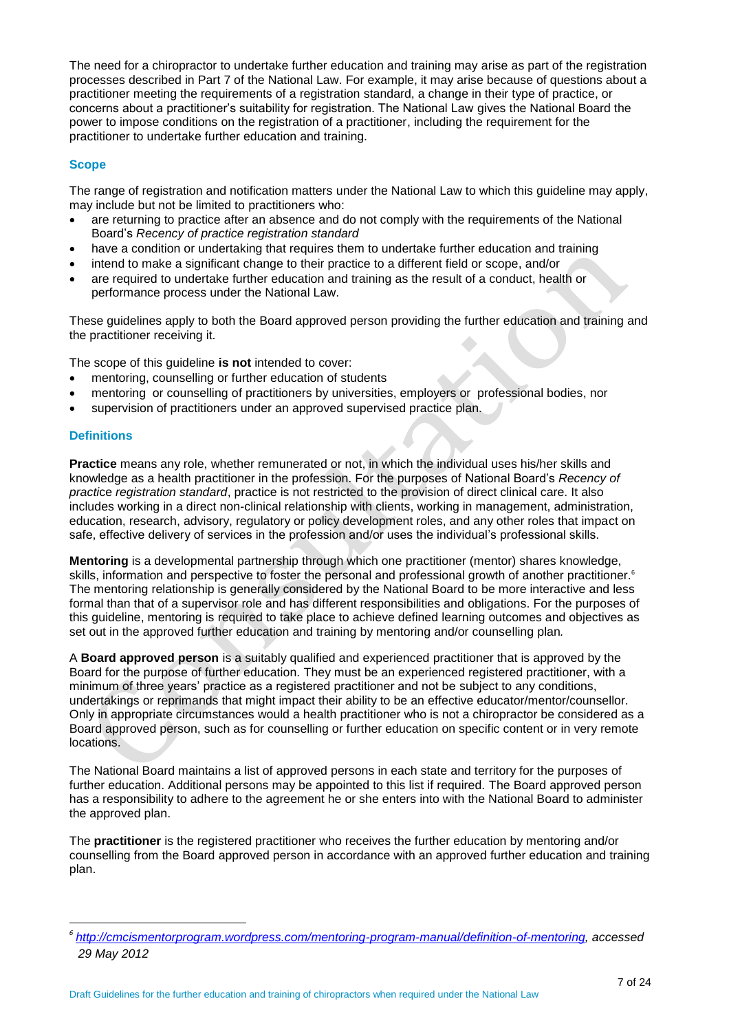The need for a chiropractor to undertake further education and training may arise as part of the registration processes described in Part 7 of the National Law. For example, it may arise because of questions about a practitioner meeting the requirements of a registration standard, a change in their type of practice, or concerns about a practitioner's suitability for registration. The National Law gives the National Board the power to impose conditions on the registration of a practitioner, including the requirement for the practitioner to undertake further education and training.

# **Scope**

The range of registration and notification matters under the National Law to which this guideline may apply, may include but not be limited to practitioners who:

- are returning to practice after an absence and do not comply with the requirements of the National Board's *Recency of practice registration standard*
- have a condition or undertaking that requires them to undertake further education and training
- intend to make a significant change to their practice to a different field or scope, and/or
- are required to undertake further education and training as the result of a conduct, health or performance process under the National Law.

These guidelines apply to both the Board approved person providing the further education and training and the practitioner receiving it.

The scope of this guideline **is not** intended to cover:

- mentoring, counselling or further education of students
- mentoring or counselling of practitioners by universities, employers or professional bodies, nor
- supervision of practitioners under an approved supervised practice plan.

# **Definitions**

 $\overline{a}$ 

**Practice** means any role, whether remunerated or not, in which the individual uses his/her skills and knowledge as a health practitioner in the profession. For the purposes of National Board's *Recency of practi*ce *registration standard*, practice is not restricted to the provision of direct clinical care. It also includes working in a direct non-clinical relationship with clients, working in management, administration, education, research, advisory, regulatory or policy development roles, and any other roles that impact on safe, effective delivery of services in the profession and/or uses the individual's professional skills.

**Mentoring** is a developmental partnership through which one practitioner (mentor) shares knowledge, skills, information and perspective to foster the personal and professional growth of another practitioner. 6 The mentoring relationship is generally considered by the National Board to be more interactive and less formal than that of a supervisor role and has different responsibilities and obligations. For the purposes of this guideline, mentoring is required to take place to achieve defined learning outcomes and objectives as set out in the approved further education and training by mentoring and/or counselling plan*.*

A **Board approved person** is a suitably qualified and experienced practitioner that is approved by the Board for the purpose of further education. They must be an experienced registered practitioner, with a minimum of three years' practice as a registered practitioner and not be subject to any conditions, undertakings or reprimands that might impact their ability to be an effective educator/mentor/counsellor. Only in appropriate circumstances would a health practitioner who is not a chiropractor be considered as a Board approved person, such as for counselling or further education on specific content or in very remote locations.

The National Board maintains a list of approved persons in each state and territory for the purposes of further education. Additional persons may be appointed to this list if required. The Board approved person has a responsibility to adhere to the agreement he or she enters into with the National Board to administer the approved plan.

The **practitioner** is the registered practitioner who receives the further education by mentoring and/or counselling from the Board approved person in accordance with an approved further education and training plan.

*<sup>6</sup> [http://cmcismentorprogram.wordpress.com/mentoring-program-manual/definition-of-mentoring,](http://cmcismentorprogram.wordpress.com/mentoring-program-manual/definition-of-mentoring) accessed 29 May 2012*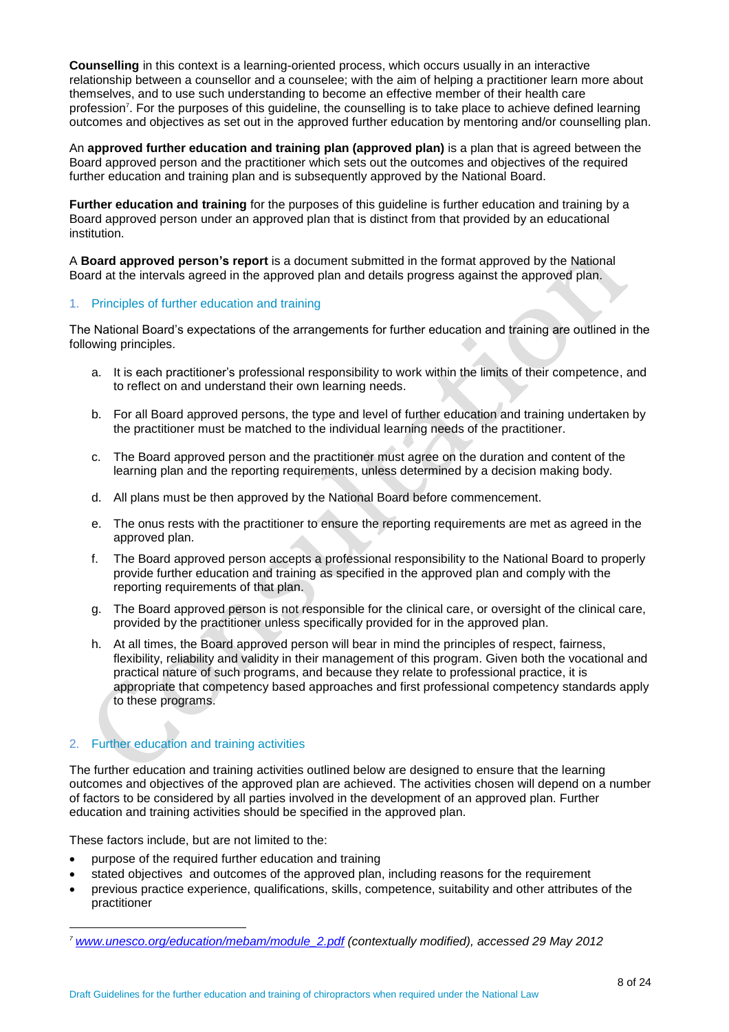**Counselling** in this context is a learning-oriented process, which occurs usually in an interactive relationship between a counsellor and a counselee; with the aim of helping a practitioner learn more about themselves, and to use such understanding to become an effective member of their health care profession<sup>7</sup>. For the purposes of this guideline, the counselling is to take place to achieve defined learning outcomes and objectives as set out in the approved further education by mentoring and/or counselling plan.

An **approved further education and training plan (approved plan)** is a plan that is agreed between the Board approved person and the practitioner which sets out the outcomes and objectives of the required further education and training plan and is subsequently approved by the National Board.

**Further education and training** for the purposes of this guideline is further education and training by a Board approved person under an approved plan that is distinct from that provided by an educational institution.

A **Board approved person's report** is a document submitted in the format approved by the National Board at the intervals agreed in the approved plan and details progress against the approved plan.

### 1. Principles of further education and training

The National Board's expectations of the arrangements for further education and training are outlined in the following principles.

- a. It is each practitioner's professional responsibility to work within the limits of their competence, and to reflect on and understand their own learning needs.
- b. For all Board approved persons, the type and level of further education and training undertaken by the practitioner must be matched to the individual learning needs of the practitioner.
- c. The Board approved person and the practitioner must agree on the duration and content of the learning plan and the reporting requirements, unless determined by a decision making body.
- d. All plans must be then approved by the National Board before commencement.
- e. The onus rests with the practitioner to ensure the reporting requirements are met as agreed in the approved plan.
- f. The Board approved person accepts a professional responsibility to the National Board to properly provide further education and training as specified in the approved plan and comply with the reporting requirements of that plan.
- g. The Board approved person is not responsible for the clinical care, or oversight of the clinical care, provided by the practitioner unless specifically provided for in the approved plan.
- h. At all times, the Board approved person will bear in mind the principles of respect, fairness, flexibility, reliability and validity in their management of this program. Given both the vocational and practical nature of such programs, and because they relate to professional practice, it is appropriate that competency based approaches and first professional competency standards apply to these programs.

# 2. Further education and training activities

The further education and training activities outlined below are designed to ensure that the learning outcomes and objectives of the approved plan are achieved. The activities chosen will depend on a number of factors to be considered by all parties involved in the development of an approved plan. Further education and training activities should be specified in the approved plan.

These factors include, but are not limited to the:

 $\overline{a}$ 

- purpose of the required further education and training
- stated objectives and outcomes of the approved plan, including reasons for the requirement
- previous practice experience, qualifications, skills, competence, suitability and other attributes of the practitioner

*<sup>7</sup> [www.unesco.org/education/mebam/module\\_2.pdf](http://www.unesco.org/education/mebam/module_2.pdf) (contextually modified), accessed 29 May 2012*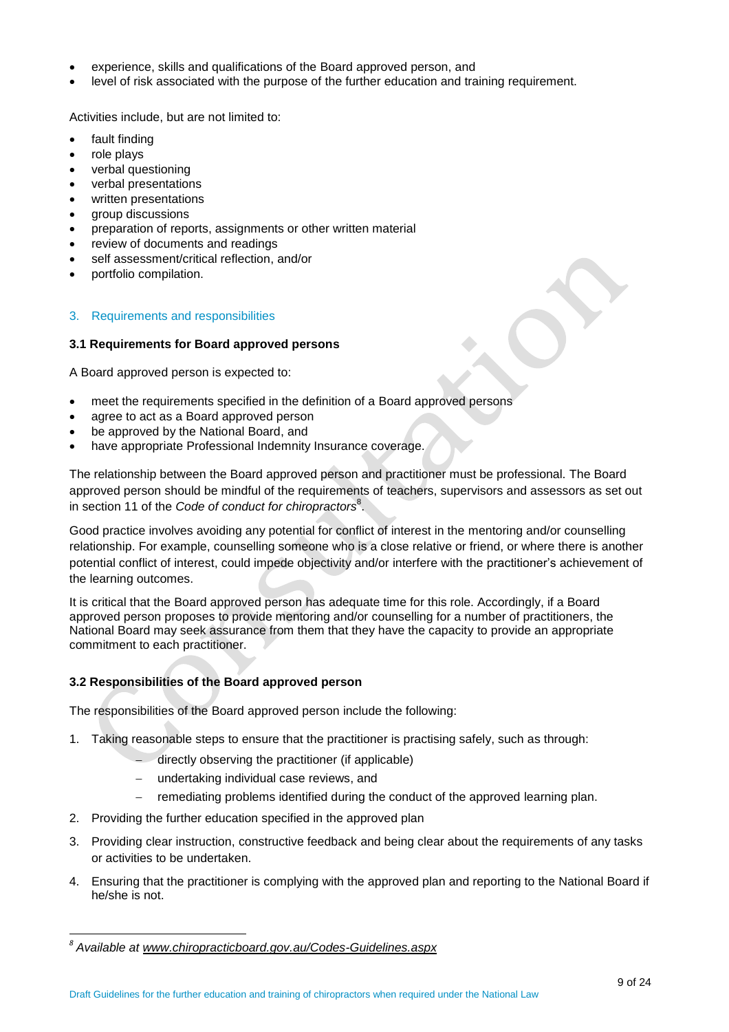- experience, skills and qualifications of the Board approved person, and
- level of risk associated with the purpose of the further education and training requirement.

Activities include, but are not limited to:

- fault finding
- role plays
- verbal questioning
- verbal presentations
- written presentations
- group discussions
- preparation of reports, assignments or other written material
- review of documents and readings
- self assessment/critical reflection, and/or
- portfolio compilation.

### 3. Requirements and responsibilities

### **3.1 Requirements for Board approved persons**

A Board approved person is expected to:

- meet the requirements specified in the definition of a Board approved persons
- agree to act as a Board approved person
- be approved by the National Board, and
- have appropriate Professional Indemnity Insurance coverage.

The relationship between the Board approved person and practitioner must be professional. The Board approved person should be mindful of the requirements of teachers, supervisors and assessors as set out in section 11 of the *Code of conduct for chiropractors*<sup>8</sup> .

Good practice involves avoiding any potential for conflict of interest in the mentoring and/or counselling relationship. For example, counselling someone who is a close relative or friend, or where there is another potential conflict of interest, could impede objectivity and/or interfere with the practitioner's achievement of the learning outcomes.

It is critical that the Board approved person has adequate time for this role. Accordingly, if a Board approved person proposes to provide mentoring and/or counselling for a number of practitioners, the National Board may seek assurance from them that they have the capacity to provide an appropriate commitment to each practitioner.

# **3.2 Responsibilities of the Board approved person**

The responsibilities of the Board approved person include the following:

- 1. Taking reasonable steps to ensure that the practitioner is practising safely, such as through:
	- directly observing the practitioner (if applicable)
	- undertaking individual case reviews, and
	- remediating problems identified during the conduct of the approved learning plan.
- 2. Providing the further education specified in the approved plan
- 3. Providing clear instruction, constructive feedback and being clear about the requirements of any tasks or activities to be undertaken.
- 4. Ensuring that the practitioner is complying with the approved plan and reporting to the National Board if he/she is not.

 $\overline{a}$ 

*<sup>8</sup> Available at www.chiropracticboard.gov.au/Codes-Guidelines.aspx*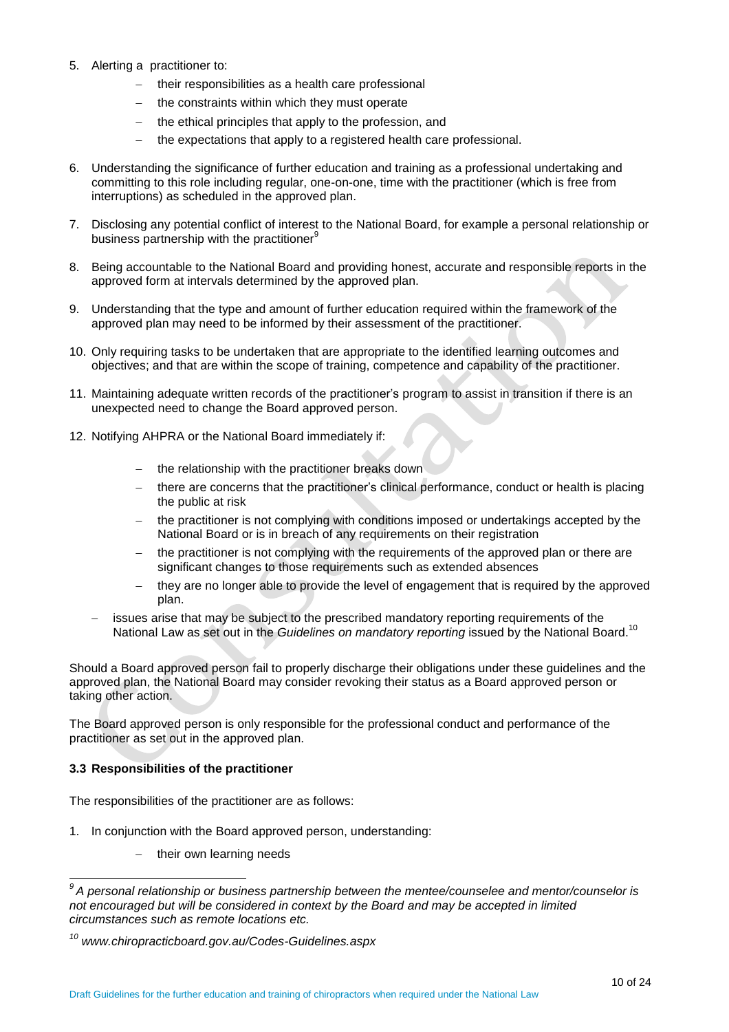- 5. Alerting a practitioner to:
	- their responsibilities as a health care professional
	- the constraints within which they must operate
	- the ethical principles that apply to the profession, and
	- the expectations that apply to a registered health care professional.
- 6. Understanding the significance of further education and training as a professional undertaking and committing to this role including regular, one-on-one, time with the practitioner (which is free from interruptions) as scheduled in the approved plan.
- 7. Disclosing any potential conflict of interest to the National Board, for example a personal relationship or business partnership with the practitioner<sup>9</sup>
- 8. Being accountable to the National Board and providing honest, accurate and responsible reports in the approved form at intervals determined by the approved plan.
- 9. Understanding that the type and amount of further education required within the framework of the approved plan may need to be informed by their assessment of the practitioner.
- 10. Only requiring tasks to be undertaken that are appropriate to the identified learning outcomes and objectives; and that are within the scope of training, competence and capability of the practitioner.
- 11. Maintaining adequate written records of the practitioner's program to assist in transition if there is an unexpected need to change the Board approved person.
- 12. Notifying AHPRA or the National Board immediately if:
	- the relationship with the practitioner breaks down
	- there are concerns that the practitioner's clinical performance, conduct or health is placing the public at risk
	- the practitioner is not complying with conditions imposed or undertakings accepted by the National Board or is in breach of any requirements on their registration
	- the practitioner is not complying with the requirements of the approved plan or there are significant changes to those requirements such as extended absences
	- they are no longer able to provide the level of engagement that is required by the approved plan.
	- issues arise that may be subject to the prescribed mandatory reporting requirements of the National Law as set out in the *Guidelines on mandatory reporting* issued by the National Board. 10

Should a Board approved person fail to properly discharge their obligations under these guidelines and the approved plan, the National Board may consider revoking their status as a Board approved person or taking other action.

The Board approved person is only responsible for the professional conduct and performance of the practitioner as set out in the approved plan.

# **3.3 Responsibilities of the practitioner**

 $\overline{\phantom{a}}$ 

The responsibilities of the practitioner are as follows:

- 1. In conjunction with the Board approved person, understanding:
	- $-$  their own learning needs

*<sup>9</sup> A personal relationship or business partnership between the mentee/counselee and mentor/counselor is not encouraged but will be considered in context by the Board and may be accepted in limited circumstances such as remote locations etc.*

*<sup>10</sup> www.chiropracticboard.gov.au/Codes-Guidelines.aspx*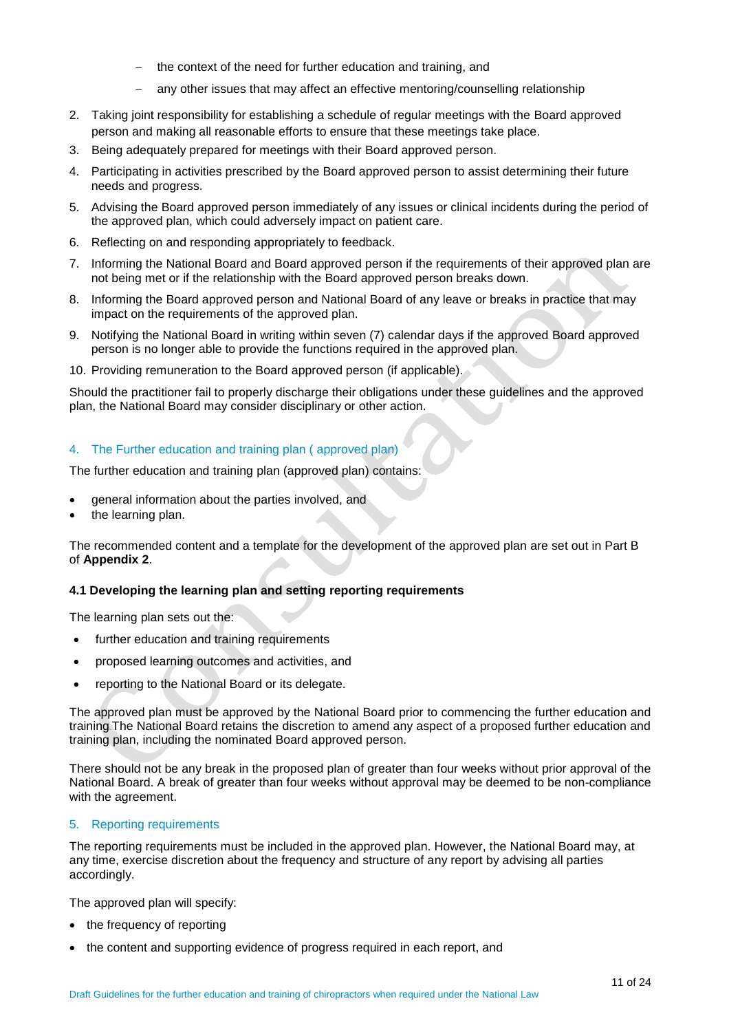- the context of the need for further education and training, and
- any other issues that may affect an effective mentoring/counselling relationship
- 2. Taking joint responsibility for establishing a schedule of regular meetings with the Board approved person and making all reasonable efforts to ensure that these meetings take place.
- 3. Being adequately prepared for meetings with their Board approved person.
- 4. Participating in activities prescribed by the Board approved person to assist determining their future needs and progress.
- 5. Advising the Board approved person immediately of any issues or clinical incidents during the period of the approved plan, which could adversely impact on patient care.
- 6. Reflecting on and responding appropriately to feedback.
- 7. Informing the National Board and Board approved person if the requirements of their approved plan are not being met or if the relationship with the Board approved person breaks down.
- 8. Informing the Board approved person and National Board of any leave or breaks in practice that may impact on the requirements of the approved plan.
- 9. Notifying the National Board in writing within seven (7) calendar days if the approved Board approved person is no longer able to provide the functions required in the approved plan.
- 10. Providing remuneration to the Board approved person (if applicable).

Should the practitioner fail to properly discharge their obligations under these guidelines and the approved plan, the National Board may consider disciplinary or other action.

# 4. The Further education and training plan ( approved plan)

The further education and training plan (approved plan) contains:

- general information about the parties involved, and
- the learning plan.

The recommended content and a template for the development of the approved plan are set out in Part B of **Appendix 2**.

# **4.1 Developing the learning plan and setting reporting requirements**

The learning plan sets out the:

- further education and training requirements
- proposed learning outcomes and activities, and
- reporting to the National Board or its delegate.

The approved plan must be approved by the National Board prior to commencing the further education and training The National Board retains the discretion to amend any aspect of a proposed further education and training plan, including the nominated Board approved person.

There should not be any break in the proposed plan of greater than four weeks without prior approval of the National Board. A break of greater than four weeks without approval may be deemed to be non-compliance with the agreement.

### 5. Reporting requirements

The reporting requirements must be included in the approved plan. However, the National Board may, at any time, exercise discretion about the frequency and structure of any report by advising all parties accordingly.

The approved plan will specify:

- the frequency of reporting
- the content and supporting evidence of progress required in each report, and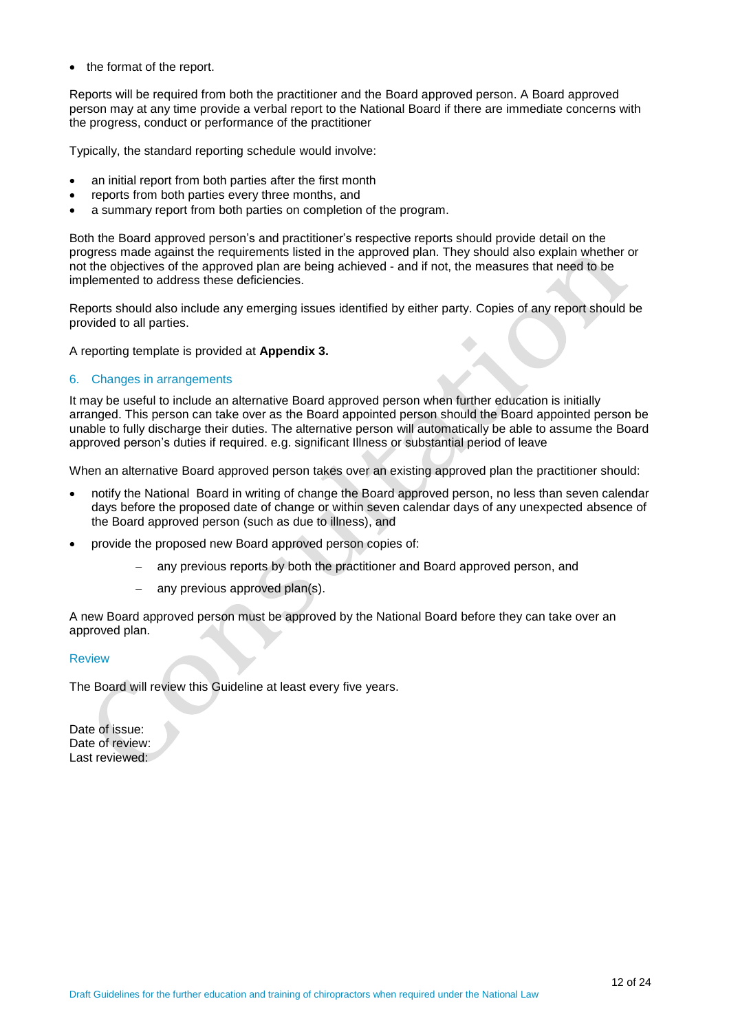• the format of the report.

Reports will be required from both the practitioner and the Board approved person. A Board approved person may at any time provide a verbal report to the National Board if there are immediate concerns with the progress, conduct or performance of the practitioner

Typically, the standard reporting schedule would involve:

- an initial report from both parties after the first month
- reports from both parties every three months, and
- a summary report from both parties on completion of the program.

Both the Board approved person's and practitioner's respective reports should provide detail on the progress made against the requirements listed in the approved plan. They should also explain whether or not the objectives of the approved plan are being achieved - and if not, the measures that need to be implemented to address these deficiencies.

Reports should also include any emerging issues identified by either party. Copies of any report should be provided to all parties.

A reporting template is provided at **Appendix 3.**

### 6. Changes in arrangements

It may be useful to include an alternative Board approved person when further education is initially arranged. This person can take over as the Board appointed person should the Board appointed person be unable to fully discharge their duties. The alternative person will automatically be able to assume the Board approved person's duties if required. e.g. significant Illness or substantial period of leave

When an alternative Board approved person takes over an existing approved plan the practitioner should:

- notify the National Board in writing of change the Board approved person, no less than seven calendar days before the proposed date of change or within seven calendar days of any unexpected absence of the Board approved person (such as due to illness), and
- provide the proposed new Board approved person copies of:
	- any previous reports by both the practitioner and Board approved person, and
	- any previous approved plan(s).

A new Board approved person must be approved by the National Board before they can take over an approved plan.

### **Review**

The Board will review this Guideline at least every five years.

Date of issue: Date of review: Last reviewed: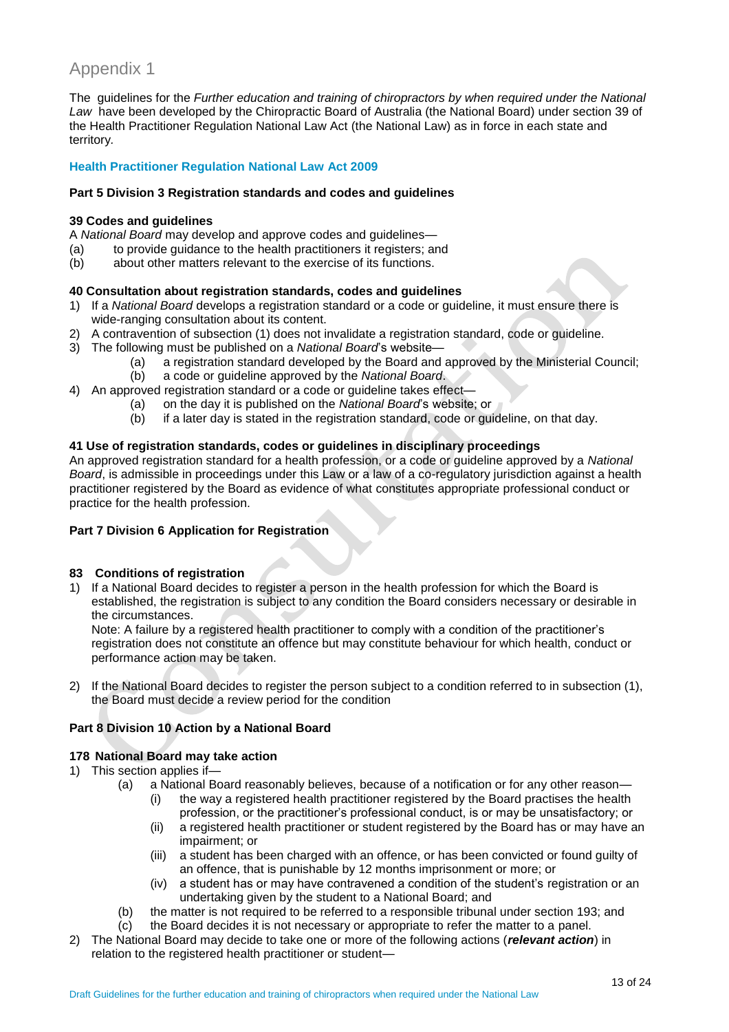# Appendix 1

The guidelines for the *Further education and training of chiropractors by when required under the National*  Law have been developed by the Chiropractic Board of Australia (the National Board) under section 39 of the Health Practitioner Regulation National Law Act (the National Law) as in force in each state and territory*.*

# **Health Practitioner Regulation National Law Act 2009**

# **Part 5 Division 3 Registration standards and codes and guidelines**

### **39 Codes and guidelines**

A *National Board* may develop and approve codes and guidelines—

- (a) to provide guidance to the health practitioners it registers; and (b) about other matters relevant to the exercise of its functions.
- about other matters relevant to the exercise of its functions.

# **40 Consultation about registration standards, codes and guidelines**

- 1) If a *National Board* develops a registration standard or a code or guideline, it must ensure there is wide-ranging consultation about its content.
- 2) A contravention of subsection (1) does not invalidate a registration standard, code or guideline.
- 3) The following must be published on a *National Board*'s website—
	- (a) a registration standard developed by the Board and approved by the Ministerial Council;
	- (b) a code or guideline approved by the *National Board*.
- 4) An approved registration standard or a code or guideline takes effect—
	- (a) on the day it is published on the *National Board*'s website; or
		- (b) if a later day is stated in the registration standard, code or guideline, on that day.

# **41 Use of registration standards, codes or guidelines in disciplinary proceedings**

An approved registration standard for a health profession, or a code or guideline approved by a *National Board*, is admissible in proceedings under this Law or a law of a co-regulatory jurisdiction against a health practitioner registered by the Board as evidence of what constitutes appropriate professional conduct or practice for the health profession.

# **Part 7 Division 6 Application for Registration**

# **83 Conditions of registration**

1) If a National Board decides to register a person in the health profession for which the Board is established, the registration is subject to any condition the Board considers necessary or desirable in the circumstances.

Note: A failure by a registered health practitioner to comply with a condition of the practitioner's registration does not constitute an offence but may constitute behaviour for which health, conduct or performance action may be taken.

2) If the National Board decides to register the person subject to a condition referred to in subsection (1), the Board must decide a review period for the condition

# **Part 8 Division 10 Action by a National Board**

### **178 National Board may take action**

- 1) This section applies if—
	- (a) a National Board reasonably believes, because of a notification or for any other reason—
		- (i) the way a registered health practitioner registered by the Board practises the health profession, or the practitioner's professional conduct, is or may be unsatisfactory; or
			- (ii) a registered health practitioner or student registered by the Board has or may have an impairment; or
			- (iii) a student has been charged with an offence, or has been convicted or found guilty of an offence, that is punishable by 12 months imprisonment or more; or
		- (iv) a student has or may have contravened a condition of the student's registration or an undertaking given by the student to a National Board; and
	- (b) the matter is not required to be referred to a responsible tribunal under section 193; and
	- (c) the Board decides it is not necessary or appropriate to refer the matter to a panel.
- 2) The National Board may decide to take one or more of the following actions (*relevant action*) in relation to the registered health practitioner or student—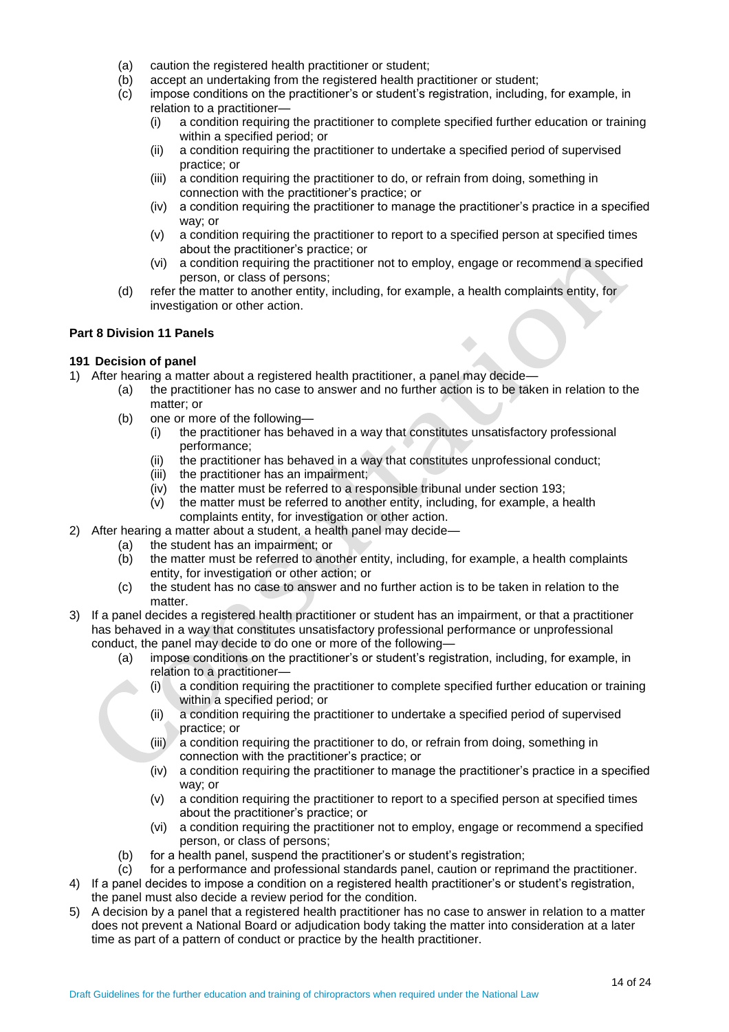- (a) caution the registered health practitioner or student;
- (b) accept an undertaking from the registered health practitioner or student;
- (c) impose conditions on the practitioner's or student's registration, including, for example, in relation to a practitioner—
	- (i) a condition requiring the practitioner to complete specified further education or training within a specified period; or
	- (ii) a condition requiring the practitioner to undertake a specified period of supervised practice; or
	- (iii) a condition requiring the practitioner to do, or refrain from doing, something in connection with the practitioner's practice; or
	- (iv) a condition requiring the practitioner to manage the practitioner's practice in a specified way; or
	- (v) a condition requiring the practitioner to report to a specified person at specified times about the practitioner's practice; or
	- (vi) a condition requiring the practitioner not to employ, engage or recommend a specified person, or class of persons;
- (d) refer the matter to another entity, including, for example, a health complaints entity, for investigation or other action.

# **Part 8 Division 11 Panels**

# **191 Decision of panel**

- 1) After hearing a matter about a registered health practitioner, a panel may decide—
	- (a) the practitioner has no case to answer and no further action is to be taken in relation to the matter; or
	- (b) one or more of the following—
		- (i) the practitioner has behaved in a way that constitutes unsatisfactory professional performance;
		- (ii) the practitioner has behaved in a way that constitutes unprofessional conduct;
		- (iii) the practitioner has an impairment;
		- (iv) the matter must be referred to a responsible tribunal under section 193;
		- (v) the matter must be referred to another entity, including, for example, a health complaints entity, for investigation or other action.
- 2) After hearing a matter about a student, a health panel may decide—
	- (a) the student has an impairment; or
	- (b) the matter must be referred to another entity, including, for example, a health complaints entity, for investigation or other action; or
	- (c) the student has no case to answer and no further action is to be taken in relation to the matter.
- 3) If a panel decides a registered health practitioner or student has an impairment, or that a practitioner has behaved in a way that constitutes unsatisfactory professional performance or unprofessional conduct, the panel may decide to do one or more of the following—
	- (a) impose conditions on the practitioner's or student's registration, including, for example, in relation to a practitioner—
		- (i) a condition requiring the practitioner to complete specified further education or training within a specified period; or
		- (ii) a condition requiring the practitioner to undertake a specified period of supervised practice; or
		- (iii) a condition requiring the practitioner to do, or refrain from doing, something in connection with the practitioner's practice; or
		- (iv) a condition requiring the practitioner to manage the practitioner's practice in a specified way; or
		- (v) a condition requiring the practitioner to report to a specified person at specified times about the practitioner's practice; or
		- (vi) a condition requiring the practitioner not to employ, engage or recommend a specified person, or class of persons;
	- (b) for a health panel, suspend the practitioner's or student's registration;
	- (c) for a performance and professional standards panel, caution or reprimand the practitioner.
- 4) If a panel decides to impose a condition on a registered health practitioner's or student's registration, the panel must also decide a review period for the condition.
- 5) A decision by a panel that a registered health practitioner has no case to answer in relation to a matter does not prevent a National Board or adjudication body taking the matter into consideration at a later time as part of a pattern of conduct or practice by the health practitioner.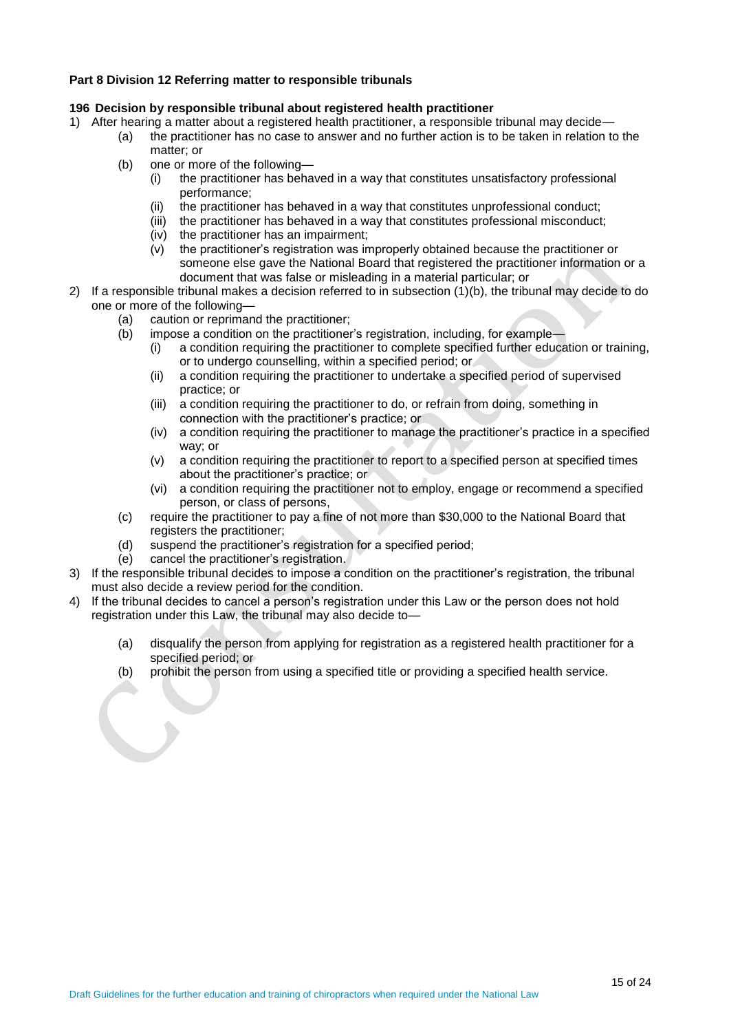### **Part 8 Division 12 Referring matter to responsible tribunals**

### **196 Decision by responsible tribunal about registered health practitioner**

- 1) After hearing a matter about a registered health practitioner, a responsible tribunal may decide—
	- (a) the practitioner has no case to answer and no further action is to be taken in relation to the matter; or
		- (b) one or more of the following—
			- (i) the practitioner has behaved in a way that constitutes unsatisfactory professional performance;
			- (ii) the practitioner has behaved in a way that constitutes unprofessional conduct;<br>(iii) the practitioner has behaved in a way that constitutes professional misconduct;
			- (iii) the practitioner has behaved in a way that constitutes professional misconduct;<br>(iv) the practitioner has an impairment;
			- the practitioner has an impairment;
			- (v) the practitioner's registration was improperly obtained because the practitioner or someone else gave the National Board that registered the practitioner information or a document that was false or misleading in a material particular; or
- 2) If a responsible tribunal makes a decision referred to in subsection (1)(b), the tribunal may decide to do one or more of the following—
	- (a) caution or reprimand the practitioner;
	- (b) impose a condition on the practitioner's registration, including, for example—
		- (i) a condition requiring the practitioner to complete specified further education or training, or to undergo counselling, within a specified period; or
		- (ii) a condition requiring the practitioner to undertake a specified period of supervised practice; or
		- (iii) a condition requiring the practitioner to do, or refrain from doing, something in connection with the practitioner's practice; or
		- (iv) a condition requiring the practitioner to manage the practitioner's practice in a specified way; or
		- (v) a condition requiring the practitioner to report to a specified person at specified times about the practitioner's practice; or
		- (vi) a condition requiring the practitioner not to employ, engage or recommend a specified person, or class of persons,
	- (c) require the practitioner to pay a fine of not more than \$30,000 to the National Board that registers the practitioner;
	- (d) suspend the practitioner's registration for a specified period;
	- (e) cancel the practitioner's registration.
- 3) If the responsible tribunal decides to impose a condition on the practitioner's registration, the tribunal must also decide a review period for the condition.
- 4) If the tribunal decides to cancel a person's registration under this Law or the person does not hold registration under this Law, the tribunal may also decide to—
	- (a) disqualify the person from applying for registration as a registered health practitioner for a specified period; or
	- (b) prohibit the person from using a specified title or providing a specified health service.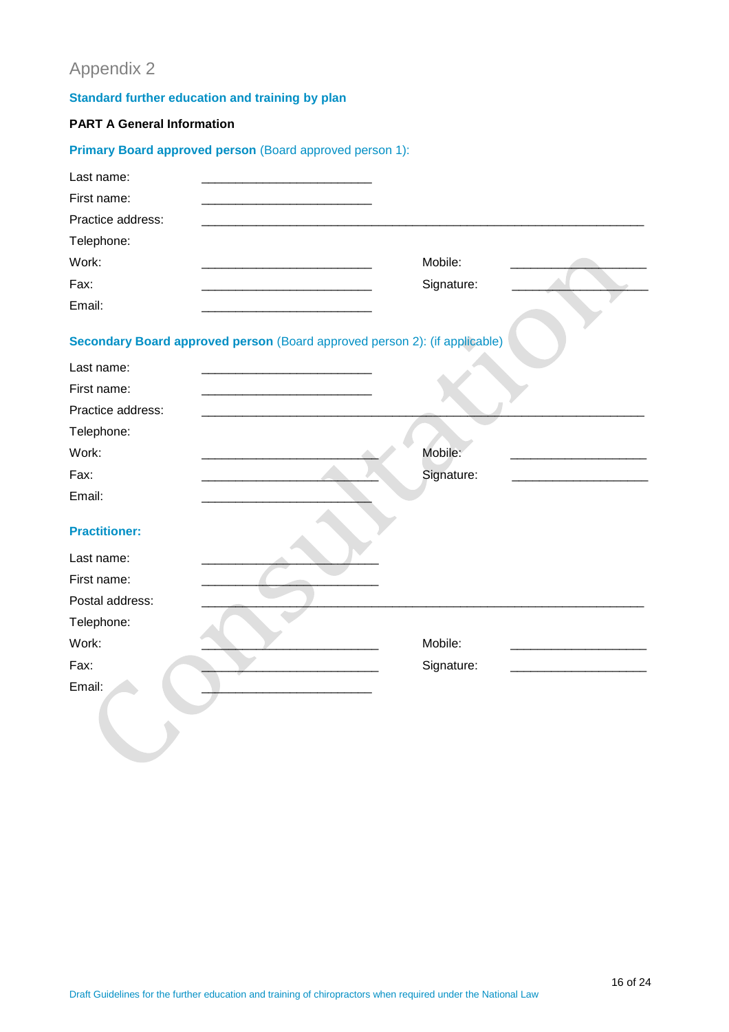# Appendix 2

# **Standard further education and training by plan**

# **PART A General Information**

| Primary Board approved person (Board approved person 1):                   |            |
|----------------------------------------------------------------------------|------------|
| Last name:                                                                 |            |
| First name:                                                                |            |
| Practice address:                                                          |            |
| Telephone:                                                                 |            |
| Work:                                                                      | Mobile:    |
| Fax:                                                                       | Signature: |
| Email:                                                                     |            |
|                                                                            |            |
| Secondary Board approved person (Board approved person 2): (if applicable) |            |
| Last name:                                                                 |            |
| First name:                                                                |            |
| Practice address:                                                          |            |
| Telephone:                                                                 |            |
| Work:                                                                      | Mobile:    |
| Fax:                                                                       | Signature: |
| Email:                                                                     |            |
|                                                                            |            |
| <b>Practitioner:</b>                                                       |            |
| Last name:                                                                 |            |
| First name:                                                                |            |
| Postal address:                                                            |            |
| Telephone:                                                                 |            |
| Work:                                                                      | Mobile:    |
| Fax:                                                                       | Signature: |
| Email:                                                                     |            |
|                                                                            |            |
|                                                                            |            |
|                                                                            |            |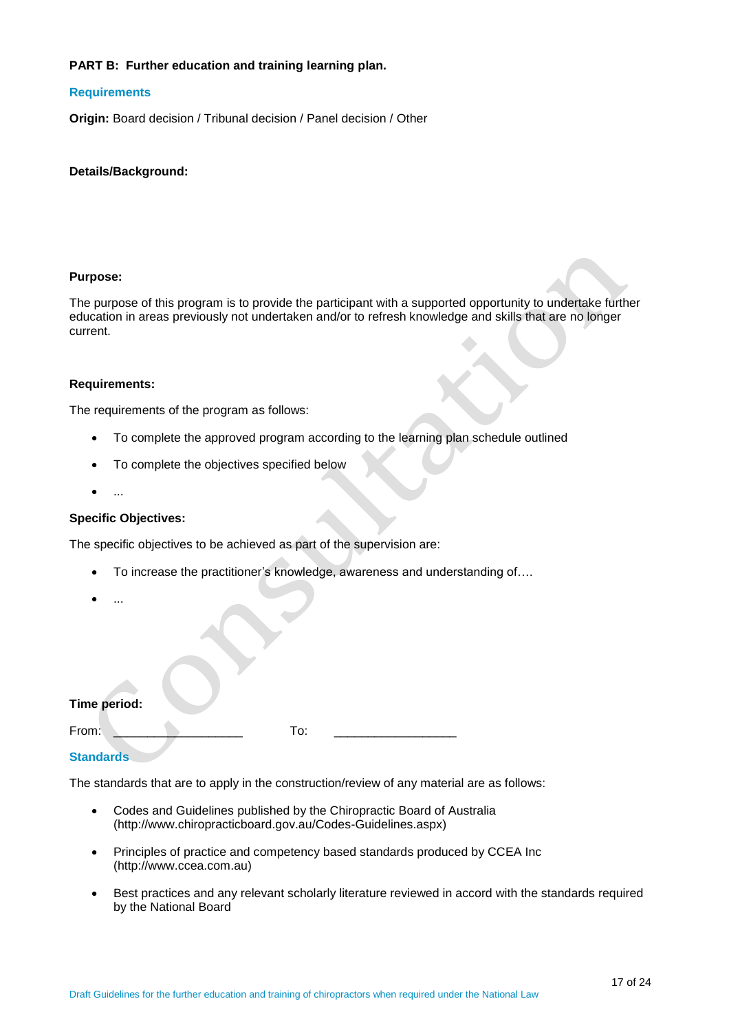### **PART B: Further education and training learning plan.**

### **Requirements**

**Origin:** Board decision / Tribunal decision / Panel decision / Other

### **Details/Background:**

### **Purpose:**

The purpose of this program is to provide the participant with a supported opportunity to undertake further education in areas previously not undertaken and/or to refresh knowledge and skills that are no longer current.

### **Requirements:**

The requirements of the program as follows:

- To complete the approved program according to the learning plan schedule outlined
- To complete the objectives specified below
- $\bullet$  ...

### **Specific Objectives:**

The specific objectives to be achieved as part of the supervision are:

- To increase the practitioner's knowledge, awareness and understanding of….
- $\bullet$  ...

### **Time period:**

From: \_\_\_\_\_\_\_\_\_\_\_\_\_\_\_\_\_\_\_ To: \_\_\_\_\_\_\_\_\_\_\_\_\_\_\_\_\_\_

# **Standards**

The standards that are to apply in the construction/review of any material are as follows:

- Codes and Guidelines published by the Chiropractic Board of Australia [\(http://www.chiropracticboard.gov.au/Codes-Guidelines.aspx\)](http://www.chiropracticboard.gov.au/Codes-Guidelines.aspx)
- Principles of practice and competency based standards produced by CCEA Inc [\(http://www.ccea.com.au\)](http://www.ccea.com.au/)
- Best practices and any relevant scholarly literature reviewed in accord with the standards required by the National Board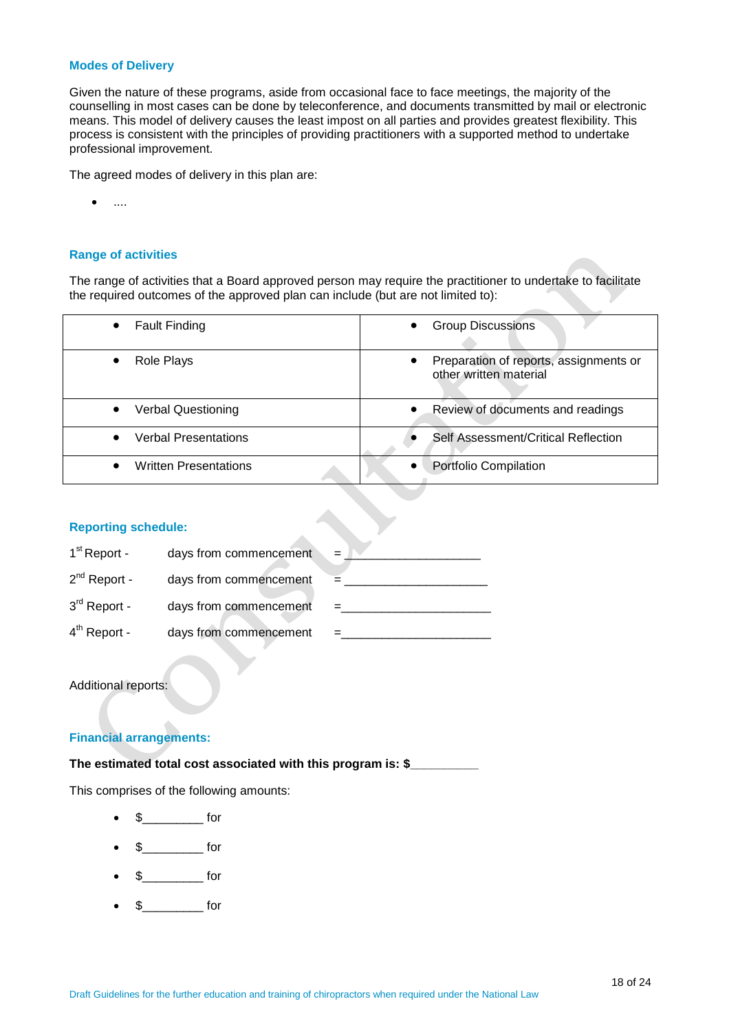#### **Modes of Delivery**

Given the nature of these programs, aside from occasional face to face meetings, the majority of the counselling in most cases can be done by teleconference, and documents transmitted by mail or electronic means. This model of delivery causes the least impost on all parties and provides greatest flexibility. This process is consistent with the principles of providing practitioners with a supported method to undertake professional improvement.

The agreed modes of delivery in this plan are:

 $\bullet$  ....

### **Range of activities**

The range of activities that a Board approved person may require the practitioner to undertake to facilitate the required outcomes of the approved plan can include (but are not limited to):

| <b>Fault Finding</b><br>$\bullet$      | <b>Group Discussions</b>                                                      |
|----------------------------------------|-------------------------------------------------------------------------------|
| Role Plays<br>$\bullet$                | Preparation of reports, assignments or<br>$\bullet$<br>other written material |
| <b>Verbal Questioning</b><br>$\bullet$ | Review of documents and readings                                              |
| Verbal Presentations                   | Self Assessment/Critical Reflection                                           |
| <b>Written Presentations</b>           | Portfolio Compilation                                                         |

### **Reporting schedule:**

| $1st$ Report -    | days from commencement |  |
|-------------------|------------------------|--|
| $2^{nd}$ Report - | days from commencement |  |
| $3rd$ Report -    | days from commencement |  |
| $4th$ Report -    | days from commencement |  |

### Additional reports:

# **Financial arrangements:**

**The estimated total cost associated with this program is: \$\_\_\_\_\_\_\_\_\_\_**

This comprises of the following amounts:

- $\text{\$} \qquad \qquad \text{for}$
- $\frac{1}{2}$  for
- $\frac{1}{2}$  for
- $\text{\$}$  for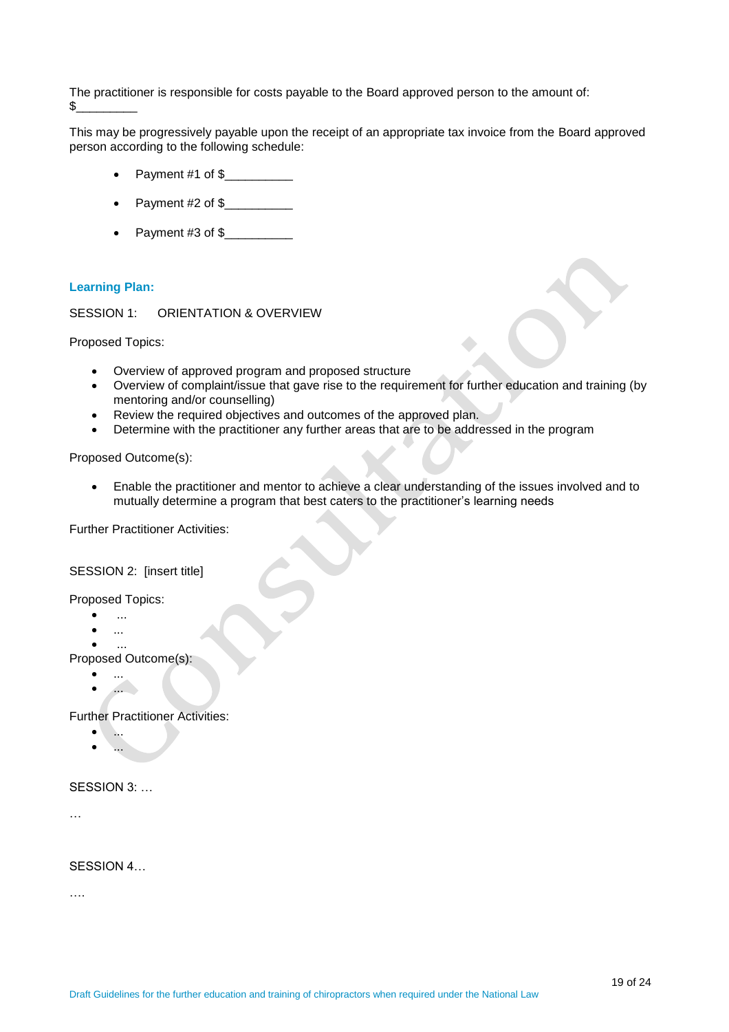The practitioner is responsible for costs payable to the Board approved person to the amount of:  $$$ 

This may be progressively payable upon the receipt of an appropriate tax invoice from the Board approved person according to the following schedule:

- Payment #1 of \$
- Payment #2 of \$\_\_\_\_\_\_\_\_\_\_
- Payment #3 of \$\_\_\_\_\_\_\_\_\_\_\_\_

### **Learning Plan:**

SESSION 1: ORIENTATION & OVERVIEW

Proposed Topics:

- Overview of approved program and proposed structure
- Overview of complaint/issue that gave rise to the requirement for further education and training (by mentoring and/or counselling)
- Review the required objectives and outcomes of the approved plan.
- Determine with the practitioner any further areas that are to be addressed in the program

Proposed Outcome(s):

 Enable the practitioner and mentor to achieve a clear understanding of the issues involved and to mutually determine a program that best caters to the practitioner's learning needs

Further Practitioner Activities:

### SESSION 2: [insert title]

Proposed Topics:

- $\bullet$  ...
- ...

 $\bullet$  ... Proposed Outcome(s):

- ...
- ...

Further Practitioner Activities:

- ...
- ...

### SESSION 3: ...

…

SESSION 4…

….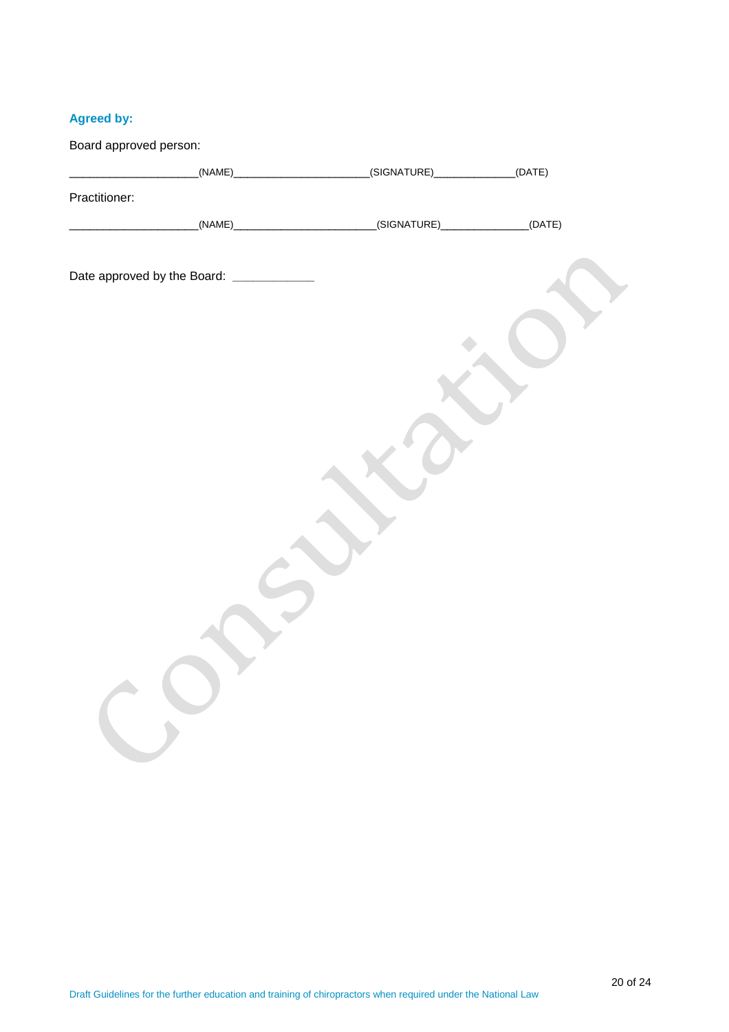# **Agreed by:**

| Board approved person: |                                           |  |
|------------------------|-------------------------------------------|--|
|                        |                                           |  |
| Practitioner:          |                                           |  |
|                        |                                           |  |
|                        |                                           |  |
|                        | Date approved by the Board: _____________ |  |
|                        |                                           |  |
|                        |                                           |  |
|                        |                                           |  |
|                        |                                           |  |
|                        |                                           |  |
|                        |                                           |  |
|                        |                                           |  |
|                        |                                           |  |
|                        |                                           |  |
|                        |                                           |  |
|                        |                                           |  |
|                        |                                           |  |
|                        |                                           |  |
|                        |                                           |  |
|                        |                                           |  |
|                        |                                           |  |
|                        |                                           |  |
|                        |                                           |  |
|                        |                                           |  |
|                        |                                           |  |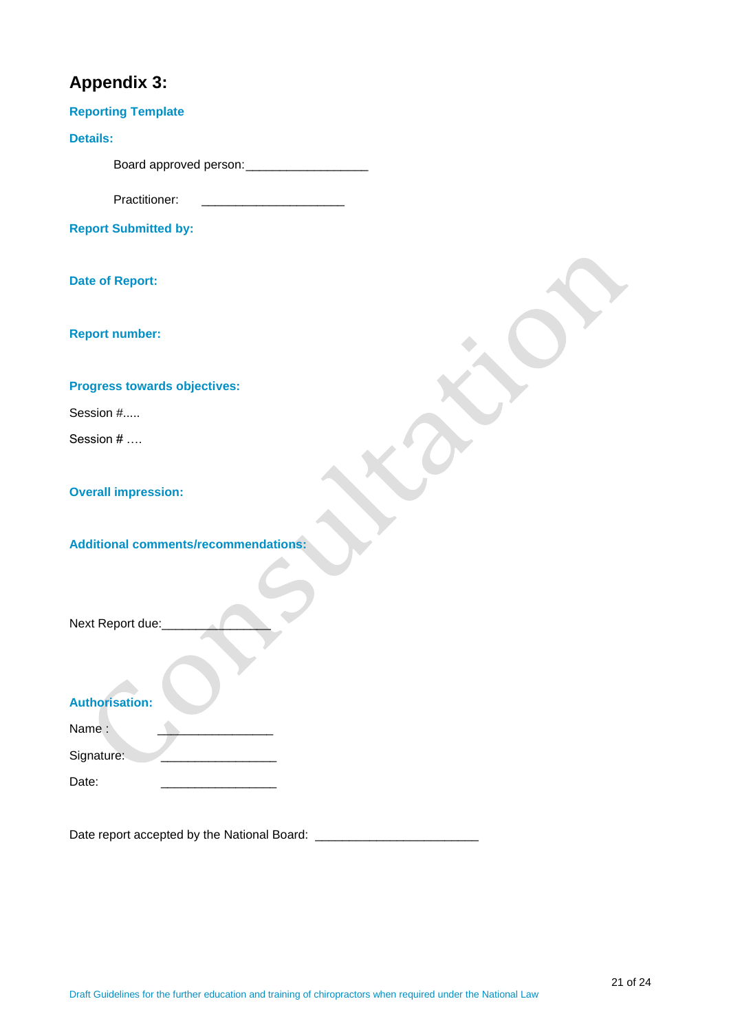# **Appendix 3:**

| <b>Reporting Template</b>                   |
|---------------------------------------------|
| <b>Details:</b>                             |
|                                             |
| Practitioner:                               |
| <b>Report Submitted by:</b>                 |
| <b>Date of Report:</b>                      |
| <b>Report number:</b>                       |
| Progress towards objectives:                |
| Session #                                   |
| Session #                                   |
| <b>Overall impression:</b>                  |
| <b>Additional comments/recommendations:</b> |
| Next Report due:                            |
| <b>Authorisation:</b>                       |
| Name:                                       |
| Signature:                                  |
| Date:                                       |

Date report accepted by the National Board: \_\_\_\_\_\_\_\_\_\_\_\_\_\_\_\_\_\_\_\_\_\_\_\_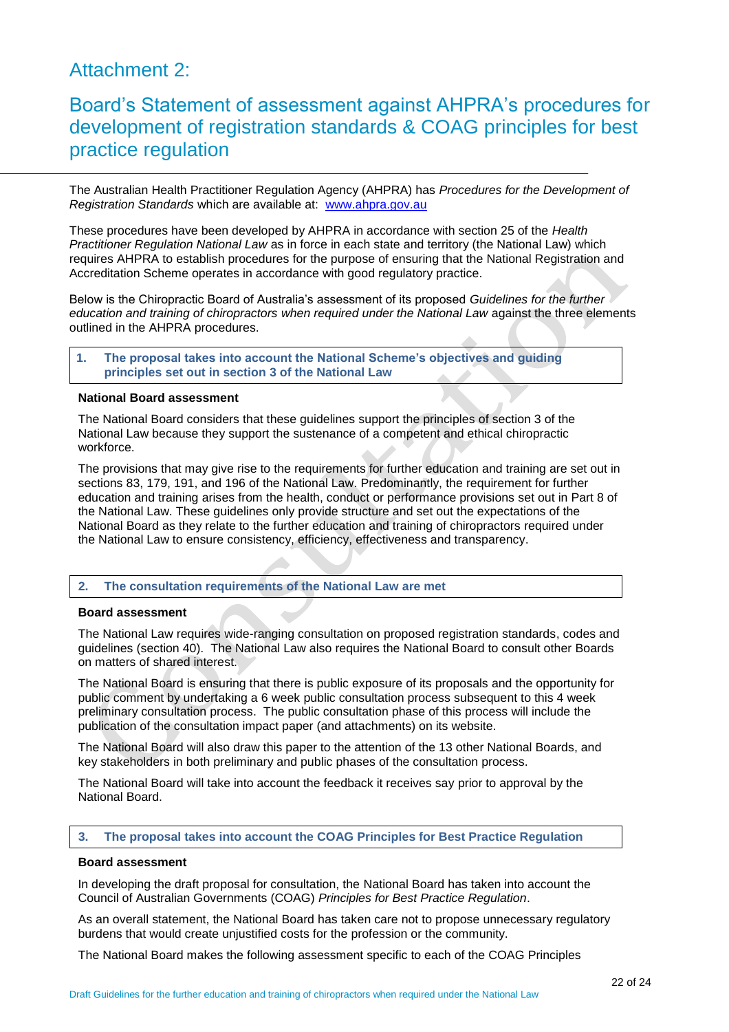# Attachment 2:

# Board's Statement of assessment against AHPRA's procedures for development of registration standards & COAG principles for best practice regulation

The Australian Health Practitioner Regulation Agency (AHPRA) has *Procedures for the Development of Registration Standards* which are available at: [www.ahpra.gov.au](http://www.ahpra.gov.au/)

These procedures have been developed by AHPRA in accordance with section 25 of the *Health Practitioner Regulation National Law* as in force in each state and territory (the National Law) which requires AHPRA to establish procedures for the purpose of ensuring that the National Registration and Accreditation Scheme operates in accordance with good regulatory practice.

Below is the Chiropractic Board of Australia's assessment of its proposed *Guidelines for the further education and training of chiropractors when required under the National Law against the three elements* outlined in the AHPRA procedures.

**1. The proposal takes into account the National Scheme's objectives and guiding principles set out in section 3 of the National Law**

### **National Board assessment**

The National Board considers that these guidelines support the principles of section 3 of the National Law because they support the sustenance of a competent and ethical chiropractic workforce.

The provisions that may give rise to the requirements for further education and training are set out in sections 83, 179, 191, and 196 of the National Law. Predominantly, the requirement for further education and training arises from the health, conduct or performance provisions set out in Part 8 of the National Law. These guidelines only provide structure and set out the expectations of the National Board as they relate to the further education and training of chiropractors required under the National Law to ensure consistency, efficiency, effectiveness and transparency.

### **2. The consultation requirements of the National Law are met**

### **Board assessment**

The National Law requires wide-ranging consultation on proposed registration standards, codes and guidelines (section 40). The National Law also requires the National Board to consult other Boards on matters of shared interest.

The National Board is ensuring that there is public exposure of its proposals and the opportunity for public comment by undertaking a 6 week public consultation process subsequent to this 4 week preliminary consultation process. The public consultation phase of this process will include the publication of the consultation impact paper (and attachments) on its website.

The National Board will also draw this paper to the attention of the 13 other National Boards, and key stakeholders in both preliminary and public phases of the consultation process.

The National Board will take into account the feedback it receives say prior to approval by the National Board.

### **3. The proposal takes into account the COAG Principles for Best Practice Regulation**

#### **Board assessment**

In developing the draft proposal for consultation, the National Board has taken into account the Council of Australian Governments (COAG) *Principles for Best Practice Regulation*.

As an overall statement, the National Board has taken care not to propose unnecessary regulatory burdens that would create unjustified costs for the profession or the community.

The National Board makes the following assessment specific to each of the COAG Principles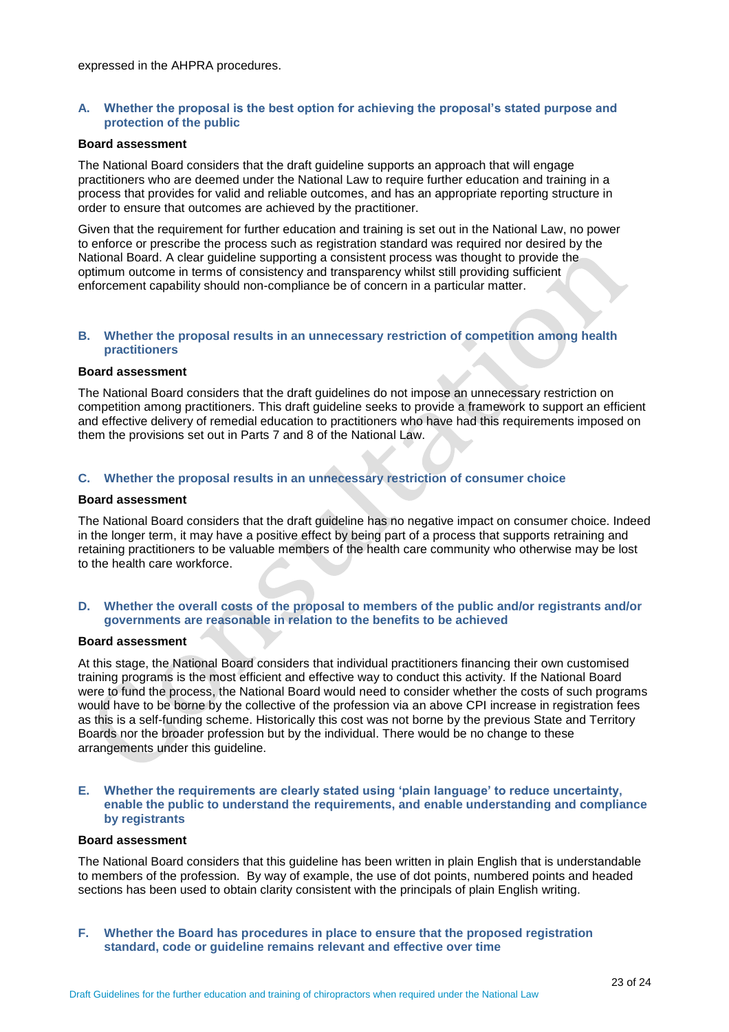### **A. Whether the proposal is the best option for achieving the proposal's stated purpose and protection of the public**

#### **Board assessment**

The National Board considers that the draft guideline supports an approach that will engage practitioners who are deemed under the National Law to require further education and training in a process that provides for valid and reliable outcomes, and has an appropriate reporting structure in order to ensure that outcomes are achieved by the practitioner.

Given that the requirement for further education and training is set out in the National Law, no power to enforce or prescribe the process such as registration standard was required nor desired by the National Board. A clear guideline supporting a consistent process was thought to provide the optimum outcome in terms of consistency and transparency whilst still providing sufficient enforcement capability should non-compliance be of concern in a particular matter.

### **B. Whether the proposal results in an unnecessary restriction of competition among health practitioners**

#### **Board assessment**

The National Board considers that the draft guidelines do not impose an unnecessary restriction on competition among practitioners. This draft guideline seeks to provide a framework to support an efficient and effective delivery of remedial education to practitioners who have had this requirements imposed on them the provisions set out in Parts 7 and 8 of the National Law.

### **C. Whether the proposal results in an unnecessary restriction of consumer choice**

### **Board assessment**

The National Board considers that the draft guideline has no negative impact on consumer choice. Indeed in the longer term, it may have a positive effect by being part of a process that supports retraining and retaining practitioners to be valuable members of the health care community who otherwise may be lost to the health care workforce.

### **D. Whether the overall costs of the proposal to members of the public and/or registrants and/or governments are reasonable in relation to the benefits to be achieved**

### **Board assessment**

At this stage, the National Board considers that individual practitioners financing their own customised training programs is the most efficient and effective way to conduct this activity. If the National Board were to fund the process, the National Board would need to consider whether the costs of such programs would have to be borne by the collective of the profession via an above CPI increase in registration fees as this is a self-funding scheme. Historically this cost was not borne by the previous State and Territory Boards nor the broader profession but by the individual. There would be no change to these arrangements under this guideline.

### **E. Whether the requirements are clearly stated using 'plain language' to reduce uncertainty, enable the public to understand the requirements, and enable understanding and compliance by registrants**

### **Board assessment**

The National Board considers that this guideline has been written in plain English that is understandable to members of the profession. By way of example, the use of dot points, numbered points and headed sections has been used to obtain clarity consistent with the principals of plain English writing.

**F. Whether the Board has procedures in place to ensure that the proposed registration standard, code or guideline remains relevant and effective over time**